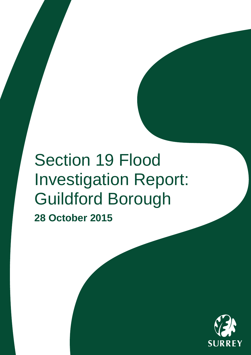# Section 19 Flood Investigation Report: Guildford Borough

**28 October 2015**

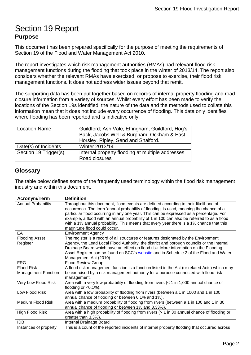# <span id="page-1-0"></span>Section 19 Report **Purpose**

This document has been prepared specifically for the purpose of meeting the requirements of Section 19 of the Flood and Water Management Act 2010.

The report investigates which risk management authorities (RMAs) had relevant flood risk management functions during the flooding that took place in the winter of 2013/14. The report also considers whether the relevant RMAs have exercised, or propose to exercise, their flood risk management functions. It does not address wider issues beyond that remit.

The supporting data has been put together based on records of internal property flooding and road closure information from a variety of sources. Whilst every effort has been made to verify the locations of the Section 19s identified, the nature of the data and the methods used to collate this information mean that it does not include every occurrence of flooding. This data only identifies where flooding has been reported and is indicative only.

| <b>Location Name</b>  | Guildford; Ash Vale, Effingham, Guildford, Hog's<br>Back, Jacobs Well & Burpham, Ockham & East<br>Horsley, Ripley, Send and Shalford. |
|-----------------------|---------------------------------------------------------------------------------------------------------------------------------------|
| Date(s) of Incidents  | <b>Winter 2013/14</b>                                                                                                                 |
| Section 19 Trigger(s) | Internal property flooding at multiple addresses<br>Road closures                                                                     |

### <span id="page-1-1"></span>**Glossary**

The table below defines some of the frequently used terminology within the flood risk management industry and within this document.

| <b>Acronym/Term</b>                             | <b>Definition</b>                                                                                                                                                                                                                                                                                                                                                                                                                                                                                |
|-------------------------------------------------|--------------------------------------------------------------------------------------------------------------------------------------------------------------------------------------------------------------------------------------------------------------------------------------------------------------------------------------------------------------------------------------------------------------------------------------------------------------------------------------------------|
| <b>Annual Probability</b>                       | Throughout this document, flood events are defined according to their likelihood of<br>occurrence. The term 'annual probability of flooding' is used, meaning the chance of a<br>particular flood occurring in any one year. This can be expressed as a percentage. For<br>example, a flood with an annual probability of 1 in 100 can also be referred to as a flood<br>with a 1% annual probability. This means that every year there is a 1% chance that this<br>magnitude flood could occur. |
| EA                                              | <b>Environment Agency</b>                                                                                                                                                                                                                                                                                                                                                                                                                                                                        |
| <b>Flooding Asset</b><br>Register               | The register is a record of all structures or features designated by the Environment<br>Agency, the Lead Local Flood Authority, the district and borough councils or the Internal<br>Drainage Board which have an effect on flood risk. More information on the Flooding<br>Asset Register can be found on SCC's website and in Schedule 2 of the Flood and Water<br>Management Act (2010).                                                                                                      |
| <b>FRG</b>                                      | <b>Flood Review Group</b>                                                                                                                                                                                                                                                                                                                                                                                                                                                                        |
| <b>Flood Risk</b><br><b>Management Function</b> | A flood risk management function is a function listed in the Act (or related Acts) which may<br>be exercised by a risk management authority for a purpose connected with flood risk<br>management.                                                                                                                                                                                                                                                                                               |
| Very Low Flood Risk                             | Area with a very low probability of flooding from rivers $(1 in 1,000 annual chance offlooding or < 0.1\%).$                                                                                                                                                                                                                                                                                                                                                                                     |
| Low Flood Risk                                  | Area with a low probability of flooding from rivers (between a 1 in 1000 and 1 in 100<br>annual chance of flooding or between 0.1% and 1%).                                                                                                                                                                                                                                                                                                                                                      |
| Medium Flood Risk                               | Area with a medium probability of flooding from rivers (between a 1 in 100 and 1 in 30<br>annual chance of flooding or between 1% and 3.33%).                                                                                                                                                                                                                                                                                                                                                    |
| <b>High Flood Risk</b>                          | Area with a high probability of flooding from rivers $(> 1$ in 30 annual chance of flooding or<br>greater than 3.3%).                                                                                                                                                                                                                                                                                                                                                                            |
| <b>IDB</b>                                      | Internal Drainage Board                                                                                                                                                                                                                                                                                                                                                                                                                                                                          |
| Instances of property                           | This is a count of the reported incidents of internal property flooding that occurred across                                                                                                                                                                                                                                                                                                                                                                                                     |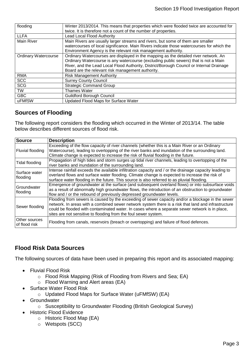| flooding                    | Winter 2013/2014. This means that properties which were flooded twice are accounted for<br>twice. It is therefore not a count of the number of properties.                                                                                                                                                                    |
|-----------------------------|-------------------------------------------------------------------------------------------------------------------------------------------------------------------------------------------------------------------------------------------------------------------------------------------------------------------------------|
| <b>LLFA</b>                 | Lead Local Flood Authority                                                                                                                                                                                                                                                                                                    |
| <b>Main River</b>           | Main Rivers are usually larger streams and rivers, but some of them are smaller<br>watercourses of local significance. Main Rivers indicate those watercourses for which the<br>Environment Agency is the relevant risk management authority.                                                                                 |
| <b>Ordinary Watercourse</b> | Ordinary Watercourses are displayed in the mapping as the detailed river network. An<br>Ordinary Watercourse is any watercourse (excluding public sewers) that is not a Main<br>River, and the Lead Local Flood Authority, District/Borough Council or Internal Drainage<br>Board are the relevant risk management authority. |
| <b>RMA</b>                  | <b>Risk Management Authority</b>                                                                                                                                                                                                                                                                                              |
| <b>SCC</b>                  | <b>Surrey County Council</b>                                                                                                                                                                                                                                                                                                  |
| <b>SCG</b>                  | <b>Strategic Command Group</b>                                                                                                                                                                                                                                                                                                |
| <b>TW</b>                   | <b>Thames Water</b>                                                                                                                                                                                                                                                                                                           |
| <b>GBC</b>                  | <b>Guildford Borough Council</b>                                                                                                                                                                                                                                                                                              |
| uFMfSW                      | <b>Updated Flood Maps for Surface Water</b>                                                                                                                                                                                                                                                                                   |

# <span id="page-2-0"></span>**Sources of Flooding**

The following report considers the flooding which occurred in the Winter of 2013/14. The table below describes different sources of flood risk.

| <b>Source</b>                  | <b>Description</b>                                                                                                                                                                                                                                                                                                                                                           |
|--------------------------------|------------------------------------------------------------------------------------------------------------------------------------------------------------------------------------------------------------------------------------------------------------------------------------------------------------------------------------------------------------------------------|
| Fluvial flooding               | Exceeding of the flow capacity of river channels (whether this is a Main River or an Ordinary<br>Watercourse), leading to overtopping of the river banks and inundation of the surrounding land.<br>Climate change is expected to increase the risk of fluvial flooding in the future.                                                                                       |
| Tidal flooding                 | Propagation of high tides and storm surges up tidal river channels, leading to overtopping of the<br>river banks and inundation of the surrounding land.                                                                                                                                                                                                                     |
| Surface water<br>flooding      | Intense rainfall exceeds the available infiltration capacity and / or the drainage capacity leading to<br>overland flows and surface water flooding. Climate change is expected to increase the risk of<br>surface water flooding in the future. This source is also referred to as pluvial flooding.                                                                        |
| Groundwater<br>flooding        | Emergence of groundwater at the surface (and subsequent overland flows) or into subsurface voids<br>as a result of abnormally high groundwater flows, the introduction of an obstruction to groundwater<br>flow and / or the rebound of previously depressed groundwater levels.                                                                                             |
| Sewer flooding                 | Flooding from sewers is caused by the exceeding of sewer capacity and/or a blockage in the sewer<br>network. In areas with a combined sewer network system there is a risk that land and infrastructure<br>could be flooded with contaminated water. In cases where a separate sewer network is in place,<br>sites are not sensitive to flooding from the foul sewer system. |
| Other sources<br>of flood risk | Flooding from canals, reservoirs (breach or overtopping) and failure of flood defences.                                                                                                                                                                                                                                                                                      |

# <span id="page-2-1"></span>**Flood Risk Data Sources**

The following sources of data have been used in preparing this report and its associated mapping:

- Fluvial Flood Risk
	- o Flood Risk Mapping (Risk of Flooding from Rivers and Sea; EA)
	- o Flood Warning and Alert areas (EA)
- Surface Water Flood Risk
	- o Updated Flood Maps for Surface Water (uFMfSW) (EA)
- Groundwater
	- o Susceptibility to Groundwater Flooding (British Geological Survey)
- Historic Flood Evidence
	- o Historic Flood Map (EA)
	- o Wetspots (SCC)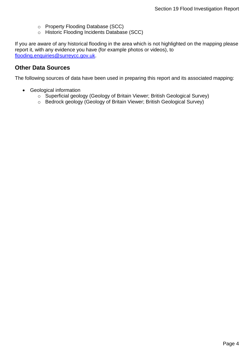- o Property Flooding Database (SCC)
- o Historic Flooding Incidents Database (SCC)

If you are aware of any historical flooding in the area which is not highlighted on the mapping please report it, with any evidence you have (for example photos or videos), to [flooding.enquiries@surreycc.gov.uk.](mailto:flooding.enquiries@surreycc.gov.uk?subject=Historic%20Flooding%20Report)

### <span id="page-3-0"></span>**Other Data Sources**

The following sources of data have been used in preparing this report and its associated mapping:

- Geological information
	- o Superficial geology (Geology of Britain Viewer; British Geological Survey)
	- o Bedrock geology (Geology of Britain Viewer; British Geological Survey)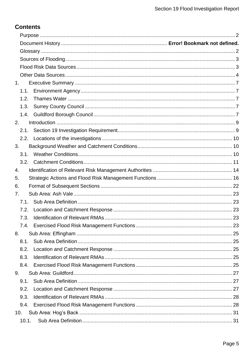# **Contents**

| 1.   |  |
|------|--|
| 1.1. |  |
| 1.2. |  |
| 1.3. |  |
| 1.4. |  |
| 2.   |  |
| 2.1. |  |
| 2.2. |  |
| 3.   |  |
| 3.1. |  |
| 3.2. |  |
| 4.   |  |
| 5.   |  |
| 6.   |  |
| 7.   |  |
| 7.1. |  |
| 7.2. |  |
| 7.3. |  |
|      |  |
| 8.   |  |
| 8.1. |  |
| 8.2. |  |
| 8.3. |  |
|      |  |
| 9.   |  |
| 9.1. |  |
| 9.2. |  |
| 9.3. |  |
| 9.4. |  |
| 10.  |  |
|      |  |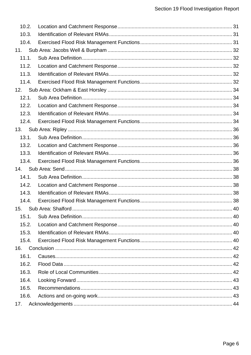| 10.2. |  |  |
|-------|--|--|
| 10.3. |  |  |
| 10.4. |  |  |
| 11.   |  |  |
| 11.1. |  |  |
| 11.2. |  |  |
| 11.3. |  |  |
| 11.4. |  |  |
| 12.   |  |  |
| 12.1. |  |  |
| 12.2. |  |  |
| 12.3. |  |  |
| 12.4. |  |  |
| 13.   |  |  |
| 13.1. |  |  |
| 13.2. |  |  |
| 13.3. |  |  |
| 13.4. |  |  |
| 14.   |  |  |
| 14.1. |  |  |
| 14.2. |  |  |
| 14.3. |  |  |
| 14.4. |  |  |
| 15.   |  |  |
| 15.1. |  |  |
| 15.2. |  |  |
| 15.3. |  |  |
| 15.4. |  |  |
| 16.   |  |  |
| 16.1. |  |  |
| 16.2. |  |  |
| 16.3. |  |  |
| 16.4. |  |  |
| 16.5. |  |  |
| 16.6. |  |  |
| 17.   |  |  |
|       |  |  |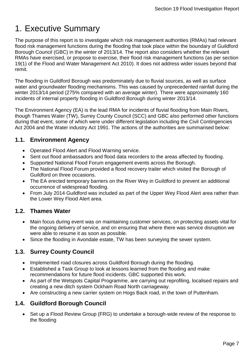# <span id="page-6-0"></span>1. Executive Summary

The purpose of this report is to investigate which risk management authorities (RMAs) had relevant flood risk management functions during the flooding that took place within the boundary of Guildford Borough Council (GBC) in the winter of 2013/14. The report also considers whether the relevant RMAs have exercised, or propose to exercise, their flood risk management functions (as per section 19(1) of the Flood and Water Management Act 2010). It does not address wider issues beyond that remit.

The flooding in Guildford Borough was predominately due to fluvial sources, as well as surface water and groundwater flooding mechanisms. This was caused by unprecedented rainfall during the winter 2013/14 period (275% compared with an average winter). There were approximately 160 incidents of internal property flooding in Guildford Borough during winter 2013/14.

The Environment Agency (EA) is the lead RMA for incidents of fluvial flooding from Main Rivers, though Thames Water (TW), Surrey County Council (SCC) and GBC also performed other functions during that event, some of which were under different legislation including the Civil Contingencies Act 2004 and the Water industry Act 1991. The actions of the authorities are summarised below:

# <span id="page-6-1"></span>**1.1. Environment Agency**

- Operated Flood Alert and Flood Warning service.
- Sent out flood ambassadors and flood data recorders to the areas affected by flooding.
- Supported National Flood Forum engagement events across the Borough.
- The National Flood Forum provided a flood recovery trailer which visited the Borough of Guildford on three occasions.
- The EA erected temporary barriers on the River Wey in Guildford to prevent an additional occurrence of widespread flooding.
- From July 2014 Guildford was included as part of the Upper Wey Flood Alert area rather than the Lower Wey Flood Alert area.

# <span id="page-6-2"></span>**1.2. Thames Water**

- Main focus during event was on maintaining customer services, on protecting assets vital for the ongoing delivery of service, and on ensuring that where there was service disruption we were able to resume it as soon as possible.
- Since the flooding in Avondale estate, TW has been surveying the sewer system.

# <span id="page-6-3"></span>**1.3. Surrey County Council**

- Implemented road closures across Guildford Borough during the flooding.
- Established a Task Group to look at lessons learned from the flooding and make recommendations for future flood incidents. GBC supported this work.
- As part of the Wetspots Capital Programme, are carrying out reprofiling, localised repairs and creating a new ditch system Ockham Road North carriageway.
- Are constructing a new carrier system on Hogs Back road, in the town of Puttenham.

# <span id="page-6-4"></span>**1.4. Guildford Borough Council**

• Set up a Flood Review Group (FRG) to undertake a borough-wide review of the response to the flooding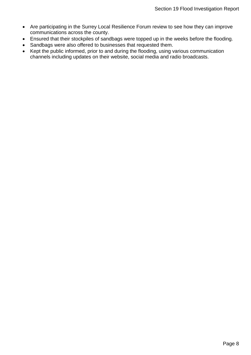- Are participating in the Surrey Local Resilience Forum review to see how they can improve communications across the county.
- Ensured that their stockpiles of sandbags were topped up in the weeks before the flooding.
- Sandbags were also offered to businesses that requested them.
- Kept the public informed, prior to and during the flooding, using various communication channels including updates on their website, social media and radio broadcasts.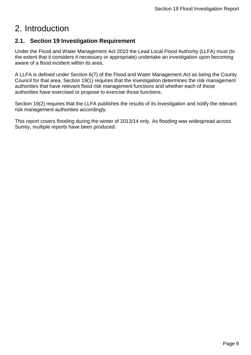# <span id="page-8-0"></span>2. Introduction

# <span id="page-8-1"></span>**2.1. Section 19 Investigation Requirement**

Under the Flood and Water Management Act 2010 the Lead Local Flood Authority (LLFA) must (to the extent that it considers it necessary or appropriate) undertake an investigation upon becoming aware of a flood incident within its area.

A LLFA is defined under Section 6(7) of the Flood and Water Management Act as being the County Council for that area. Section 19(1) requires that the investigation determines the risk management authorities that have relevant flood risk management functions and whether each of those authorities have exercised or propose to exercise those functions.

Section 19(2) requires that the LLFA publishes the results of its investigation and notify the relevant risk management authorities accordingly.

This report covers flooding during the winter of 2013/14 only. As flooding was widespread across Surrey, multiple reports have been produced.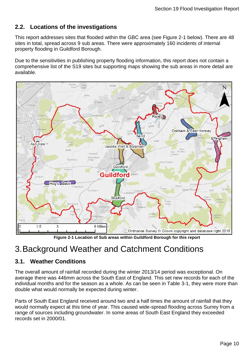# <span id="page-9-0"></span>**2.2. Locations of the investigations**

This report addresses sites that flooded within the GBC area (see Figure 2-1 below). There are 48 sites in total, spread across 9 sub areas. There were approximately 160 incidents of internal property flooding in Guildford Borough.

Due to the sensitivities in publishing property flooding information, this report does not contain a comprehensive list of the S19 sites but supporting maps showing the sub areas in more detail are available.



**Figure 2-1 Location of Sub areas within Guildford Borough for this report**

# <span id="page-9-1"></span>3.Background Weather and Catchment Conditions

# <span id="page-9-2"></span>**3.1. Weather Conditions**

The overall amount of rainfall recorded during the winter 2013/14 period was exceptional. On average there was 446mm across the South East of England. This set new records for each of the individual months and for the season as a whole. As can be seen in Table 3-1, they were more than double what would normally be expected during winter.

Parts of South East England received around two and a half times the amount of rainfall that they would normally expect at this time of year. This caused wide-spread flooding across Surrey from a range of sources including groundwater. In some areas of South East England they exceeded records set in 2000/01.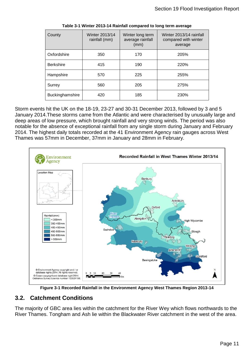| County           | Winter 2013/14<br>rainfall (mm) | Winter long term<br>average rainfall<br>(mm) | Winter 2013/14 rainfall<br>compared with winter<br>average |
|------------------|---------------------------------|----------------------------------------------|------------------------------------------------------------|
| Oxfordshire      | 350                             | 170                                          | 205%                                                       |
| <b>Berkshire</b> | 415                             | 190                                          | 220%                                                       |
| Hampshire        | 570                             | 225                                          | 255%                                                       |
| Surrey           | 560                             | 205                                          | 275%                                                       |
| Buckinghamshire  | 420                             | 185                                          | 230%                                                       |

**Table 3-1 Winter 2013-14 Rainfall compared to long term average**

Storm events hit the UK on the 18-19, 23-27 and 30-31 December 2013, followed by 3 and 5 January 2014.These storms came from the Atlantic and were characterised by unusually large and deep areas of low pressure, which brought rainfall and very strong winds. The period was also notable for the absence of exceptional rainfall from any single storm during January and February 2014. The highest daily totals recorded at the 41 Environment Agency rain gauges across West Thames was 57mm in December, 37mm in January and 28mm in February.



**Figure 3-1 Recorded Rainfall in the Environment Agency West Thames Region 2013-14**

# <span id="page-10-0"></span>**3.2. Catchment Conditions**

The majority of GBC area lies within the catchment for the River Wey which flows northwards to the River Thames. Tongham and Ash lie within the Blackwater River catchment in the west of the area.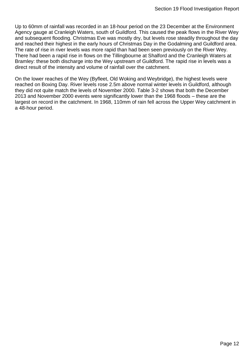Up to 60mm of rainfall was recorded in an 18-hour period on the 23 December at the Environment Agency gauge at Cranleigh Waters, south of Guildford. This caused the peak flows in the River Wey and subsequent flooding. Christmas Eve was mostly dry, but levels rose steadily throughout the day and reached their highest in the early hours of Christmas Day in the Godalming and Guildford area. The rate of rise in river levels was more rapid than had been seen previously on the River Wey. There had been a rapid rise in flows on the Tillingbourne at Shalford and the Cranleigh Waters at Bramley: these both discharge into the Wey upstream of Guildford. The rapid rise in levels was a direct result of the intensity and volume of rainfall over the catchment.

On the lower reaches of the Wey (Byfleet, Old Woking and Weybridge), the highest levels were reached on Boxing Day. River levels rose 2.5m above normal winter levels in Guildford, although they did not quite match the levels of November 2000. Table 3-2 shows that both the December 2013 and November 2000 events were significantly lower than the 1968 floods – these are the largest on record in the catchment. In 1968, 110mm of rain fell across the Upper Wey catchment in a 48-hour period.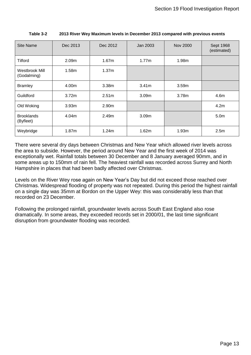| <b>Site Name</b>               | Dec 2013          | Dec 2012          | Jan 2003          | <b>Nov 2000</b> | Sept 1968<br>(estimated) |
|--------------------------------|-------------------|-------------------|-------------------|-----------------|--------------------------|
| Tilford                        | 2.09m             | 1.67 <sub>m</sub> | 1.77m             | 1.98m           |                          |
| Westbrook Mill<br>(Godalming)  | 1.58m             | 1.37m             |                   |                 |                          |
| <b>Bramley</b>                 | 4.00m             | 3.38m             | 3.41 <sub>m</sub> | 3.59m           |                          |
| Guildford                      | 3.72m             | 2.51 <sub>m</sub> | 3.09 <sub>m</sub> | 3.78m           | 4.6m                     |
| Old Woking                     | 3.93m             | 2.90m             |                   |                 | 4.2m                     |
| <b>Brooklands</b><br>(Byfleet) | 4.04m             | 2.49m             | 3.09 <sub>m</sub> |                 | 5.0 <sub>m</sub>         |
| Weybridge                      | 1.87 <sub>m</sub> | 1.24m             | 1.62m             | 1.93m           | 2.5m                     |

**Table 3-2 2013 River Wey Maximum levels in December 2013 compared with previous events**

There were several dry days between Christmas and New Year which allowed river levels across the area to subside. However, the period around New Year and the first week of 2014 was exceptionally wet. Rainfall totals between 30 December and 8 January averaged 90mm, and in some areas up to 150mm of rain fell. The heaviest rainfall was recorded across Surrey and North Hampshire in places that had been badly affected over Christmas.

Levels on the River Wey rose again on New Year's Day but did not exceed those reached over Christmas. Widespread flooding of property was not repeated. During this period the highest rainfall on a single day was 35mm at Bordon on the Upper Wey: this was considerably less than that recorded on 23 December.

Following the prolonged rainfall, groundwater levels across South East England also rose dramatically. In some areas, they exceeded records set in 2000/01, the last time significant disruption from groundwater flooding was recorded.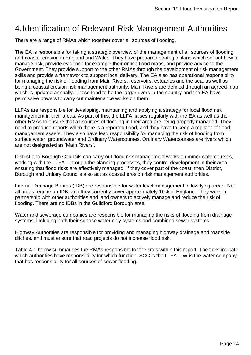# <span id="page-13-0"></span>4.Identification of Relevant Risk Management Authorities

There are a range of RMAs which together cover all sources of flooding.

The EA is responsible for taking a strategic overview of the management of all sources of flooding and coastal erosion in England and Wales. They have prepared strategic plans which set out how to manage risk, provide evidence for example their online flood maps, and provide advice to the Government. They provide support to the other RMAs through the development of risk management skills and provide a framework to support local delivery. The EA also has operational responsibility for managing the risk of flooding from Main Rivers, reservoirs, estuaries and the sea, as well as being a coastal erosion risk management authority. Main Rivers are defined through an agreed map which is updated annually. These tend to be the larger rivers in the country and the EA have permissive powers to carry out maintenance works on them.

LLFAs are responsible for developing, maintaining and applying a strategy for local flood risk management in their areas. As part of this, the LLFA liaises regularly with the EA as well as the other RMAs to ensure that all sources of flooding in their area are being properly managed. They need to produce reports when there is a reported flood, and they have to keep a register of flood management assets. They also have lead responsibility for managing the risk of flooding from surface water, groundwater and Ordinary Watercourses. Ordinary Watercourses are rivers which are not designated as 'Main Rivers'.

District and Borough Councils can carry out flood risk management works on minor watercourses, working with the LLFA. Through the planning processes, they control development in their area, ensuring that flood risks are effectively managed. If they cover part of the coast, then District, Borough and Unitary Councils also act as coastal erosion risk management authorities.

Internal Drainage Boards (IDB) are responsible for water level management in low lying areas. Not all areas require an IDB, and they currently cover approximately 10% of England. They work in partnership with other authorities and land owners to actively manage and reduce the risk of flooding. There are no IDBs in the Guildford Borough area.

Water and sewerage companies are responsible for managing the risks of flooding from drainage systems, including both their surface water only systems and combined sewer systems.

Highway Authorities are responsible for providing and managing highway drainage and roadside ditches, and must ensure that road projects do not increase flood risk.

[Table 4-1](#page-14-0) below summarises the RMAs responsible for the sites within this report. The ticks indicate which authorities have responsibility for which function. SCC is the LLFA. TW is the water company that has responsibility for all sources of sewer flooding.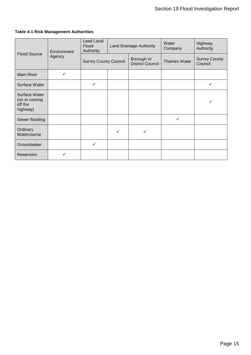<span id="page-14-0"></span>

|  |  | <b>Table 4-1 Risk Management Authorities</b> |  |
|--|--|----------------------------------------------|--|
|--|--|----------------------------------------------|--|

|                                                       | Environment<br>Agency | Lead Local<br>Flood<br>Authority | Land Drainage Authority |                                       | Water<br>Company    | Highway<br>Authority            |
|-------------------------------------------------------|-----------------------|----------------------------------|-------------------------|---------------------------------------|---------------------|---------------------------------|
| <b>Flood Source</b>                                   |                       | <b>Surrey County Council</b>     |                         | Borough or<br><b>District Council</b> | <b>Thames Water</b> | <b>Surrey County</b><br>Council |
| <b>Main River</b>                                     | ✓                     |                                  |                         |                                       |                     |                                 |
| Surface Water                                         |                       | $\checkmark$                     |                         |                                       |                     | ✓                               |
| Surface Water<br>(on or coming<br>off the<br>highway) |                       |                                  |                         |                                       |                     |                                 |
| Sewer flooding                                        |                       |                                  |                         |                                       | $\checkmark$        |                                 |
| Ordinary<br>Watercourse                               |                       |                                  | ✓                       |                                       |                     |                                 |
| Groundwater                                           |                       | $\checkmark$                     |                         |                                       |                     |                                 |
| <b>Reservoirs</b>                                     |                       |                                  |                         |                                       |                     |                                 |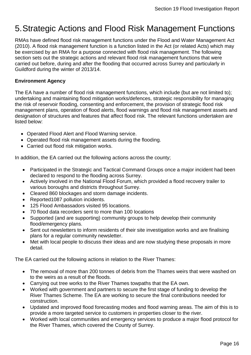# <span id="page-15-0"></span>5.Strategic Actions and Flood Risk Management Functions

RMAs have defined flood risk management functions under the Flood and Water Management Act (2010). A flood risk management function is a function listed in the Act (or related Acts) which may be exercised by an RMA for a purpose connected with flood risk management. The following section sets out the strategic actions and relevant flood risk management functions that were carried out before, during and after the flooding that occurred across Surrey and particularly in Guildford during the winter of 2013/14.

### **Environment Agency**

The EA have a number of flood risk management functions, which include (but are not limited to); undertaking and maintaining flood mitigation works/defences, strategic responsibility for managing the risk of reservoir flooding, consenting and enforcement, the provision of strategic flood risk management plans, operation of flood alerts, flood warnings and flood risk management assets and designation of structures and features that affect flood risk. The relevant functions undertaken are listed below:

- Operated Flood Alert and Flood Warning service.
- Operated flood risk management assets during the flooding.
- Carried out flood risk mitigation works.

In addition, the EA carried out the following actions across the county;

- Participated in the Strategic and Tactical Command Groups once a major incident had been declared to respond to the flooding across Surrey.
- Actively involved in the National Flood Forum, which provided a flood recovery trailer to various boroughs and districts throughout Surrey.
- Cleared 860 blockages and storm damage incidents.
- Reported1087 pollution incidents.
- 125 Flood Ambassadors visited 95 locations.
- 70 flood data recorders sent to more than 100 locations
- Supported (and are supporting) community groups to help develop their community flood/emergency plans.
- Sent out newsletters to inform residents of their site investigation works and are finalising plans for a regular community newsletter.
- Met with local people to discuss their ideas and are now studying these proposals in more detail.

The EA carried out the following actions in relation to the River Thames:

- The removal of more than 200 tonnes of debris from the Thames weirs that were washed on to the weirs as a result of the floods.
- Carrying out tree works to the River Thames towpaths that the EA own.
- Worked with government and partners to secure the first stage of funding to develop the River Thames Scheme. The EA are working to secure the final contributions needed for construction.
- Updated and improved flood forecasting modes and flood warning areas. The aim of this is to provide a more targeted service to customers in properties closer to the river.
- Worked with local communities and emergency services to produce a major flood protocol for the River Thames, which covered the County of Surrey.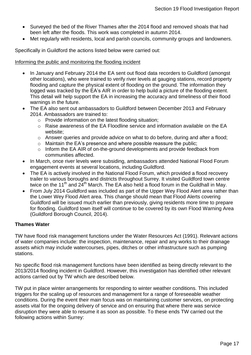- Surveyed the bed of the River Thames after the 2014 flood and removed shoals that had been left after the floods. This work was completed in autumn 2014.
- Met regularly with residents, local and parish councils, community groups and landowners.

Specifically in Guildford the actions listed below were carried out:

#### Informing the public and monitoring the flooding incident

- In January and February 2014 the EA sent out flood data recorders to Guildford (amongst other locations), who were trained to verify river levels at gauging stations, record property flooding and capture the physical extent of flooding on the ground. The information they logged was tracked by the EA's AIR in order to help build a picture of the flooding extent. This detail will help support the EA in increasing the accuracy and timeliness of their flood warnings in the future.
- The EA also sent out ambassadors to Guildford between December 2013 and February 2014. Ambassadors are trained to:
	- o Provide information on the latest flooding situation;
	- o Raise awareness of the EA Floodline service and information available on the EA website;
	- o Answer queries and provide advice on what to do before, during and after a flood;
	- o Maintain the EA's presence and where possible reassure the public;
	- o Inform the EA AIR of on-the-ground developments and provide feedback from communities affected.
- In March, once river levels were subsiding, ambassadors attended National Flood Forum engagement events at several locations, including Guildford.
- The EA is actively involved in the National Flood Forum, which provided a flood recovery trailer to various boroughs and districts throughout Surrey. It visited Guildford town centre twice on the 11<sup>th</sup> and  $24^{th}$  March. The EA also held a flood forum in the Guildhall in May.
- From July 2014 Guildford was included as part of the Upper Wey Flood Alert area rather than the Lower Wey Flood Alert area. This change should mean that Flood Alerts covering Guildford will be issued much earlier than previously, giving residents more time to prepare for flooding. Guildford town itself will continue to be covered by its own Flood Warning Area (Guildford Borough Council, 2014).

### **Thames Water**

TW have flood risk management functions under the Water Resources Act (1991). Relevant actions of water companies include: the inspection, maintenance, repair and any works to their drainage assets which may include watercourses, pipes, ditches or other infrastructure such as pumping stations.

No specific flood risk management functions have been identified as being directly relevant to the 2013/2014 flooding incident in Guildford. However, this investigation has identified other relevant actions carried out by TW which are described below.

TW put in place winter arrangements for responding to winter weather conditions. This included triggers for the scaling up of resources and management for a range of foreseeable weather conditions. During the event their main focus was on maintaining customer services, on protecting assets vital for the ongoing delivery of service and on ensuring that where there was service disruption they were able to resume it as soon as possible. To these ends TW carried out the following actions within Surrey: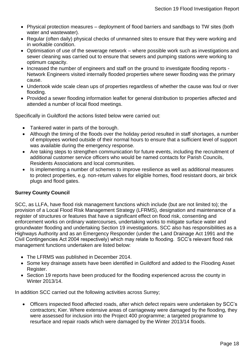- Physical protection measures deployment of flood barriers and sandbags to TW sites (both water and wastewater).
- Regular (often daily) physical checks of unmanned sites to ensure that they were working and in workable condition.
- Optimisation of use of the sewerage network where possible work such as investigations and sewer cleaning was carried out to ensure that sewers and pumping stations were working to optimum capacity.
- Increased the number of engineers and staff on the ground to investigate flooding reports -Network Engineers visited internally flooded properties where sewer flooding was the primary cause.
- Undertook wide scale clean ups of properties regardless of whether the cause was foul or river flooding.
- Provided a sewer flooding information leaflet for general distribution to properties affected and attended a number of local flood meetings.

Specifically in Guildford the actions listed below were carried out:

- Tankered water in parts of the borough.
- Although the timing of the floods over the holiday period resulted in staff shortages, a number of employees worked outside of their normal hours to ensure that a sufficient level of support was available during the emergency response.
- Are taking steps to strengthen communication for future events, including the recruitment of additional customer service officers who would be named contacts for Parish Councils, Residents Associations and local communities.
- Is implementing a number of schemes to improve resilience as well as additional measures to protect properties, e.g. non-return valves for eligible homes, flood resistant doors, air brick plugs and flood gates.

### **Surrey County Council**

SCC, as LLFA, have flood risk management functions which include (but are not limited to); the provision of a Local Flood Risk Management Strategy (LFRMS), designation and maintenance of a register of structures or features that have a significant effect on flood risk, consenting and enforcement works on ordinary watercourses, undertaking works to mitigate surface water and groundwater flooding and undertaking Section 19 investigations. SCC also has responsibilities as a Highways Authority and as an Emergency Responder (under the Land Drainage Act 1991 and the Civil Contingencies Act 2004 respectively) which may relate to flooding. SCC's relevant flood risk management functions undertaken are listed below:

- The LFRMS was published in December 2014.
- Some key drainage assets have been identified in Guildford and added to the Flooding Asset Register.
- Section 19 reports have been produced for the flooding experienced across the county in Winter 2013/14.

In addition SCC carried out the following activities across Surrey;

 Officers inspected flood affected roads, after which defect repairs were undertaken by SCC's contractors; Kier. Where extensive areas of carriageway were damaged by the flooding, they were assessed for inclusion into the Project 400 programme; a targeted programme to resurface and repair roads which were damaged by the Winter 2013/14 floods.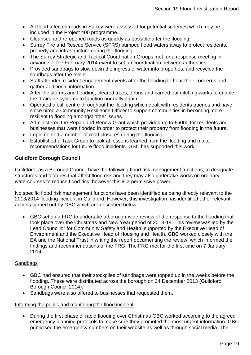- All flood affected roads in Surrey were assessed for potential schemes which may be included in the Project 400 programme.
- Cleansed and re-opened roads as quickly as possible after the flooding.
- Surrey Fire and Rescue Service (SFRS) pumped flood waters away to protect residents, property and infrastructure during the flooding.
- The Surrey Strategic and Tactical Coordination Groups met for a response meeting in advance of the February 2014 event to set up coordination between authorities.
- Provided sandbags to slow down the ingress of water into properties, and recycled the sandbags after the event.
- Staff attended resident engagement events after the flooding to hear their concerns and gather additional information.
- After the storms and flooding, cleared trees, debris and carried out ditching works to enable the drainage systems to function normally again.
- Operated a call centre throughout the flooding which dealt with residents queries and have since hired a Community Resilience Officer to support communities in becoming more resilient to flooding amongst other issues.
- Administered the Repair and Renew Grant which provided up to £5000 for residents and businesses that were flooded in order to protect their property from flooding in the future.
- Implemented a number of road closures during the flooding.
- Established a Task Group to look at lessons learned from the flooding and make recommendations for future flood incidents. GBC has supported this work.

### **Guildford Borough Council**

Guildford, as a Borough Council have the following flood risk management functions; to designate structures and features that affect flood risk and they may also undertake works on ordinary watercourses to reduce flood risk, however this is a permissive power.

No specific flood risk management functions have been identified as being directly relevant to the 2013/2014 flooding incident in Guildford. However, this investigation has identified other relevant actions carried out by GBC which are described below:

 GBC set up a FRG to undertake a borough-wide review of the response to the flooding that took place over the Christmas and New Year period of 2013-14. This review was led by the Lead Councillor for Community Safety and Health, supported by the Executive Head of Environment and the Executive Head of Housing and Health. GBC worked closely with the EA and the National Trust in writing the report documenting the review, which informed the findings and recommendations of the FRG. The FRG met for the first time on 7 January 2014.

### **Sandbags**

- GBC had ensured that their stockpiles of sandbags were topped up in the weeks before the flooding. These were distributed across the borough on 24 December 2013 (Guildford Borough Council 2014).
- Sandbags were also offered to businesses that requested them.

### Informing the public and monitoring the flood incident

 During the first phase of rapid flooding over Christmas GBC worked according to the agreed emergency planning protocols to make sure they promoted the most urgent information. GBC publicised the emergency numbers on their website as well as through social media. The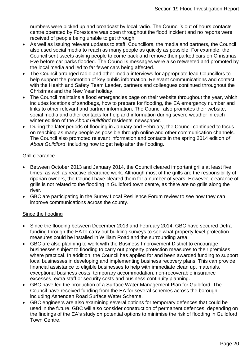numbers were picked up and broadcast by local radio. The Council's out of hours contacts centre operated by Forestcare was open throughout the flood incident and no reports were received of people being unable to get through.

- As well as issuing relevant updates to staff, Councillors, the media and partners, the Council also used social media to reach as many people as quickly as possible. For example, the Council sent tweets asking people to come back and remove their parked cars on Christmas Eve before car parks flooded. The Council's messages were also retweeted and promoted by the local media and led to far fewer cars being affected.
- The Council arranged radio and other media interviews for appropriate lead Councillors to help support the promotion of key public information. Relevant communications and contact with the Health and Safety Team Leader, partners and colleagues continued throughout the Christmas and the New Year holiday.
- The Council maintains a flood emergencies page on their website throughout the year, which includes locations of sandbags, how to prepare for flooding, the EA emergency number and links to other relevant and partner information. The Council also promotes their website, social media and other contacts for help and information during severe weather in each winter edition of the *About Guildford* residents' newspaper.
- During the later periods of flooding in January and February, the Council continued to focus on reaching as many people as possible through online and other communication channels. The Council also promoted relevant information and contacts in the spring 2014 edition *of About Guildford*, including how to get help after the flooding.

### Grill clearance

- Between October 2013 and January 2014, the Council cleared important grills at least five times, as well as reactive clearance work. Although most of the grills are the responsibility of riparian owners, the Council have cleared them for a number of years. However, clearance of grills is not related to the flooding in Guildford town centre, as there are no grills along the river.
- GBC are participating in the Surrey Local Resilience Forum review to see how they can improve communications across the county.

### Since the flooding

- Since the flooding between December 2013 and February 2014, GBC have secured Defra funding through the EA to carry out building surveys to see what property level protection measures could be installed in William Road and the surrounding area.
- GBC are also planning to work with the Business Improvement District to encourage businesses subject to flooding to carry out property protection measures to their premises where practical. In addition, the Council has applied for and been awarded funding to support local businesses in developing and implementing business recovery plans. This can provide financial assistance to eligible businesses to help with immediate clean up, materials, exceptional business costs, temporary accommodation, non-recoverable insurance excesses, extra staff or security costs and business continuity planning.
- GBC have led the production of a Surface Water Management Plan for Guildford. The Council have received funding from the EA for several schemes across the borough, including Ashenden Road Surface Water Scheme.
- GBC engineers are also examining several options for temporary defences that could be used in the future. GBC will also consider construction of permanent defences, depending on the findings of the EA's study on potential options to minimise the risk of flooding in Guildford Town Centre.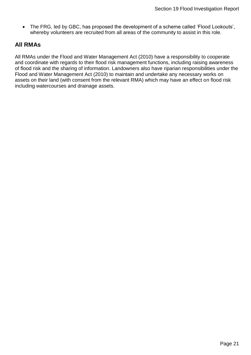• The FRG, led by GBC, has proposed the development of a scheme called 'Flood Lookouts', whereby volunteers are recruited from all areas of the community to assist in this role.

### **All RMAs**

All RMAs under the Flood and Water Management Act (2010) have a responsibility to cooperate and coordinate with regards to their flood risk management functions, including raising awareness of flood risk and the sharing of information. Landowners also have riparian responsibilities under the Flood and Water Management Act (2010) to maintain and undertake any necessary works on assets on their land (with consent from the relevant RMA) which may have an effect on flood risk including watercourses and drainage assets.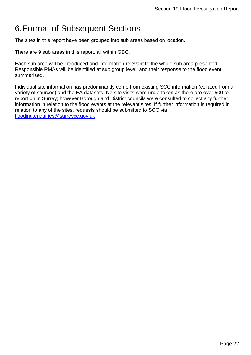# <span id="page-21-0"></span>6.Format of Subsequent Sections

The sites in this report have been grouped into sub areas based on location.

There are 9 sub areas in this report, all within GBC.

Each sub area will be introduced and information relevant to the whole sub area presented. Responsible RMAs will be identified at sub group level, and their response to the flood event summarised.

Individual site information has predominantly come from existing SCC information (collated from a variety of sources) and the EA datasets. No site visits were undertaken as there are over 500 to report on in Surrey; however Borough and District councils were consulted to collect any further information in relation to the flood events at the relevant sites. If further information is required in relation to any of the sites, requests should be submitted to SCC via [flooding.enquiries@surreycc.gov.uk.](mailto:flooding.enquiries@surreycc.gov.uk)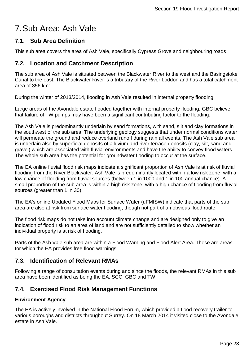# <span id="page-22-0"></span>7.Sub Area: Ash Vale

### <span id="page-22-1"></span>**7.1. Sub Area Definition**

This sub area covers the area of Ash Vale, specifically Cypress Grove and neighbouring roads.

### <span id="page-22-2"></span>**7.2. Location and Catchment Description**

The sub area of Ash Vale is situated between the Blackwater River to the west and the Basingstoke Canal to the east. The Blackwater River is a tributary of the River Loddon and has a total catchment area of 356 km<sup>2</sup>.

During the winter of 2013/2014, flooding in Ash Vale resulted in internal property flooding.

Large areas of the Avondale estate flooded together with internal property flooding. GBC believe that failure of TW pumps may have been a significant contributing factor to the flooding.

The Ash Vale is predominantly underlain by sand formations, with sand, silt and clay formations in the southwest of the sub area. The underlying geology suggests that under normal conditions water will permeate the ground and reduce overland runoff during rainfall events. The Ash Vale sub area is underlain also by superficial deposits of alluvium and river terrace deposits (clay, silt, sand and gravel) which are associated with fluvial environments and have the ability to convey flood waters. The whole sub area has the potential for groundwater flooding to occur at the surface.

The EA online fluvial flood risk maps indicate a significant proportion of Ash Vale is at risk of fluvial flooding from the River Blackwater. Ash Vale is predominantly located within a low risk zone, with a low chance of flooding from fluvial sources (between 1 in 1000 and 1 in 100 annual chance). A small proportion of the sub area is within a high risk zone, with a high chance of flooding from fluvial sources (greater than 1 in 30).

The EA's online Updated Flood Maps for Surface Water (uFMfSW) indicate that parts of the sub area are also at risk from surface water flooding, though not part of an obvious flood route.

The flood risk maps do not take into account climate change and are designed only to give an indication of flood risk to an area of land and are not sufficiently detailed to show whether an individual property is at risk of flooding.

Parts of the Ash Vale sub area are within a Flood Warning and Flood Alert Area. These are areas for which the EA provides free flood warnings.

# <span id="page-22-3"></span>**7.3. Identification of Relevant RMAs**

Following a range of consultation events during and since the floods, the relevant RMAs in this sub area have been identified as being the EA, SCC, GBC and TW.

# <span id="page-22-4"></span>**7.4. Exercised Flood Risk Management Functions**

### **Environment Agency**

The EA is actively involved in the National Flood Forum, which provided a flood recovery trailer to various boroughs and districts throughout Surrey. On 18 March 2014 it visited close to the Avondale estate in Ash Vale.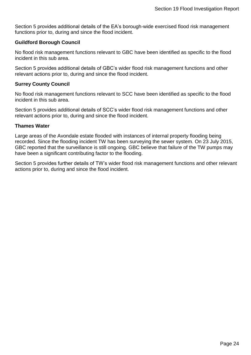Section [5](#page-15-0) provides additional details of the EA's borough-wide exercised flood risk management functions prior to, during and since the flood incident.

### **Guildford Borough Council**

No flood risk management functions relevant to GBC have been identified as specific to the flood incident in this sub area.

Section [5](#page-15-0) provides additional details of GBC's wider flood risk management functions and other relevant actions prior to, during and since the flood incident.

### **Surrey County Council**

No flood risk management functions relevant to SCC have been identified as specific to the flood incident in this sub area.

Section [5](#page-15-0) provides additional details of SCC's wider flood risk management functions and other relevant actions prior to, during and since the flood incident.

### **Thames Water**

Large areas of the Avondale estate flooded with instances of internal property flooding being recorded. Since the flooding incident TW has been surveying the sewer system. On 23 July 2015, GBC reported that the surveillance is still ongoing. GBC believe that failure of the TW pumps may have been a significant contributing factor to the flooding.

Section [5](#page-15-0) provides further details of TW's wider flood risk management functions and other relevant actions prior to, during and since the flood incident.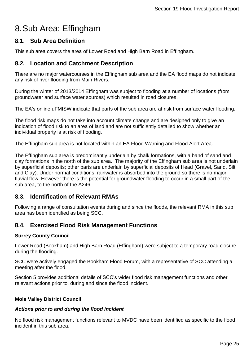# <span id="page-24-0"></span>8.Sub Area: Effingham

### <span id="page-24-1"></span>**8.1. Sub Area Definition**

This sub area covers the area of Lower Road and High Barn Road in Effingham.

### <span id="page-24-2"></span>**8.2. Location and Catchment Description**

There are no major watercourses in the Effingham sub area and the EA flood maps do not indicate any risk of river flooding from Main Rivers.

During the winter of 2013/2014 Effingham was subject to flooding at a number of locations (from groundwater and surface water sources) which resulted in road closures.

The EA's online uFMfSW indicate that parts of the sub area are at risk from surface water flooding.

The flood risk maps do not take into account climate change and are designed only to give an indication of flood risk to an area of land and are not sufficiently detailed to show whether an individual property is at risk of flooding.

The Effingham sub area is not located within an EA Flood Warning and Flood Alert Area.

The Effingham sub area is predominantly underlain by chalk formations, with a band of sand and clay formations in the north of the sub area. The majority of the Effingham sub area is not underlain by superficial deposits; other parts are underlain by superficial deposits of Head (Gravel, Sand, Silt and Clay). Under normal conditions, rainwater is absorbed into the ground so there is no major fluvial flow. However there is the potential for groundwater flooding to occur in a small part of the sub area, to the north of the A246.

### <span id="page-24-3"></span>**8.3. Identification of Relevant RMAs**

Following a range of consultation events during and since the floods, the relevant RMA in this sub area has been identified as being SCC.

# <span id="page-24-4"></span>**8.4. Exercised Flood Risk Management Functions**

### **Surrey County Council**

Lower Road (Bookham) and High Barn Road (Effingham) were subject to a temporary road closure during the flooding.

SCC were actively engaged the Bookham Flood Forum, with a representative of SCC attending a meeting after the flood.

Section [5](#page-15-0) provides additional details of SCC's wider flood risk management functions and other relevant actions prior to, during and since the flood incident.

### **Mole Valley District Council**

### *Actions prior to and during the flood incident*

No flood risk management functions relevant to MVDC have been identified as specific to the flood incident in this sub area.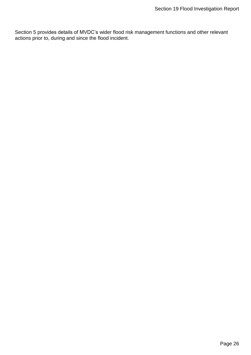Section [5](#page-15-0) provides details of MVDC's wider flood risk management functions and other relevant actions prior to, during and since the flood incident.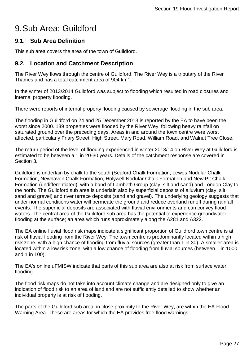# <span id="page-26-0"></span>9.Sub Area: Guildford

### <span id="page-26-1"></span>**9.1. Sub Area Definition**

This sub area covers the area of the town of Guildford.

# <span id="page-26-2"></span>**9.2. Location and Catchment Description**

The River Wey flows through the centre of Guildford. The River Wey is a tributary of the River Thames and has a total catchment area of 904  $km^2$ .

In the winter of 2013/2014 Guildford was subject to flooding which resulted in road closures and internal property flooding.

There were reports of internal property flooding caused by sewerage flooding in the sub area.

The flooding in Guildford on 24 and 25 December 2013 is reported by the EA to have been the worst since 2000. 139 properties were flooded by the River Wey, following heavy rainfall on saturated ground over the preceding days. Areas in and around the town centre were worst affected, particularly Friary Street, High Street, Mary Road, William Road, and Walnut Tree Close.

The return period of the level of flooding experienced in winter 2013/14 on River Wey at Guildford is estimated to be between a 1 in 20-30 years. Details of the catchment response are covered in Section [3.](#page-9-1)

Guildford is underlain by chalk to the south (Seaford Chalk Formation, Lewes Nodular Chalk Formation, Newhaven Chalk Formation, Holywell Nodular Chalk Formation and New Pit Chalk Formation (undifferentiated), with a band of Lambeth Group (clay, silt and sand) and London Clay to the north. The Guildford sub area is underlain also by superficial deposits of alluvium (clay, silt, sand and gravel) and river terrace deposits (sand and gravel). The underlying geology suggests that under normal conditions water will permeate the ground and reduce overland runoff during rainfall events. The superficial deposits are associated with fluvial environments and can convey flood waters. The central area of the Guildford sub area has the potential to experience groundwater flooding at the surface; an area which runs approximately along the A281 and A322.

The EA online fluvial flood risk maps indicate a significant proportion of Guildford town centre is at risk of fluvial flooding from the River Wey. The town centre is predominantly located within a high risk zone, with a high chance of flooding from fluvial sources (greater than 1 in 30). A smaller area is located within a low risk zone, with a low chance of flooding from fluvial sources (between 1 in 1000 and 1 in 100).

The EA's online uFMfSW indicate that parts of this sub area are also at risk from surface water flooding.

The flood risk maps do not take into account climate change and are designed only to give an indication of flood risk to an area of land and are not sufficiently detailed to show whether an individual property is at risk of flooding.

The parts of the Guildford sub area, in close proximity to the River Wey, are within the EA Flood Warning Area. These are areas for which the EA provides free flood warnings.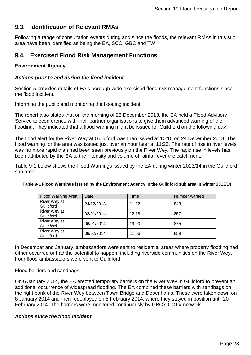# <span id="page-27-0"></span>**9.3. Identification of Relevant RMAs**

Following a range of consultation events during and since the floods, the relevant RMAs in this sub area have been identified as being the EA, SCC, GBC and TW.

### <span id="page-27-1"></span>**9.4. Exercised Flood Risk Management Functions**

### **Environment Agency**

### *Actions prior to and during the flood incident*

Section [5](#page-15-0) provides details of EA's borough-wide exercised flood risk management functions since the flood incident.

#### Informing the public and monitoring the flooding incident

The report also states that on the morning of 23 December 2013, the EA held a Flood Advisory Service teleconference with their partner organisations to give them advanced warning of the flooding. They indicated that a flood warning might be issued for Guildford on the following day.

The flood alert for the River Wey at Guildford was then issued at 10:10 on 24 December 2013. The flood warning for the area was issued just over an hour later at 11:23. The rate of rise in river levels was far more rapid than had been seen previously on the River Wey. The rapid rise in levels has been attributed by the EA to the intensity and volume of rainfall over the catchment.

Table 9-1 below shows the Flood Warnings issued by the EA during winter 2013/14 in the Guildford sub area.

| Flood Warning Area        | Date       | Time  | Number warned |
|---------------------------|------------|-------|---------------|
| River Wey at<br>Guildford | 24/12/2013 | 11:22 | 843           |
| River Wey at<br>Guildford | 02/01/2014 | 12:18 | 857           |
| River Wey at<br>Guildford | 06/01/2014 | 19:00 | 875           |
| River Wey at<br>Guildford | 08/02/2014 | 11:06 | 859           |

#### **Table 9-1 Flood Warnings issued by the Environment Agency in the Guildford sub area in winter 2013/14**

In December and January, ambassadors were sent to residential areas where property flooding had either occurred or had the potential to happen, including riverside communities on the River Wey. Four flood ambassadors were sent to Guildford.

### Flood barriers and sandbags

On 6 January 2014, the EA erected temporary barriers on the River Wey in Guildford to prevent an additional occurrence of widespread flooding. The EA combined these barriers with sandbags on the right bank of the River Wey between Town Bridge and Debenhams. These were taken down on 8 January 2014 and then redeployed on 5 February 2014, where they stayed in position until 20 February 2014. The barriers were monitored continuously by GBC's CCTV network.

### *Actions since the flood incident*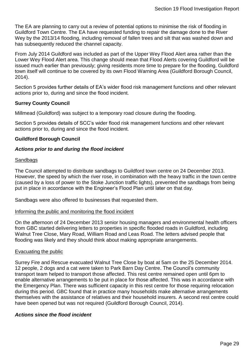The EA are planning to carry out a review of potential options to minimise the risk of flooding in Guildford Town Centre. The EA have requested funding to repair the damage done to the River Wey by the 2013/14 flooding, including removal of fallen trees and silt that was washed down and has subsequently reduced the channel capacity.

From July 2014 Guildford was included as part of the Upper Wey Flood Alert area rather than the Lower Wey Flood Alert area. This change should mean that Flood Alerts covering Guildford will be issued much earlier than previously; giving residents more time to prepare for the flooding. Guildford town itself will continue to be covered by its own Flood Warning Area (Guildford Borough Council, 2014).

Section [5](#page-15-0) provides further details of EA's wider flood risk management functions and other relevant actions prior to, during and since the flood incident.

### **Surrey County Council**

Millmead (Guildford) was subject to a temporary road closure during the flooding.

Section [5](#page-15-0) provides details of SCC's wider flood risk management functions and other relevant actions prior to, during and since the flood incident.

### **Guildford Borough Council**

### *Actions prior to and during the flood incident*

### **Sandbags**

The Council attempted to distribute sandbags to Guildford town centre on 24 December 2013. However, the speed by which the river rose, in combination with the heavy traffic in the town centre (caused by a loss of power to the Stoke Junction traffic lights), prevented the sandbags from being put in place in accordance with the Engineer's Flood Plan until later on that day.

Sandbags were also offered to businesses that requested them.

#### Informing the public and monitoring the flood incident

On the afternoon of 24 December 2013 senior housing managers and environmental health officers from GBC started delivering letters to properties in specific flooded roads in Guildford, including Walnut Tree Close, Mary Road, William Road and Leas Road. The letters advised people that flooding was likely and they should think about making appropriate arrangements.

### Evacuating the public

Surrey Fire and Rescue evacuated Walnut Tree Close by boat at 5am on the 25 December 2014. 12 people, 2 dogs and a cat were taken to Park Barn Day Centre. The Council's community transport team helped to transport those affected. This rest centre remained open until 6pm to enable alternative arrangements to be put in place for those affected. This was in accordance with the Emergency Plan. There was sufficient capacity in this rest centre for those requiring relocation during this period. GBC found that in practice many households make alternative arrangements themselves with the assistance of relatives and their household insurers. A second rest centre could have been opened but was not required (Guildford Borough Council, 2014).

### *Actions since the flood incident*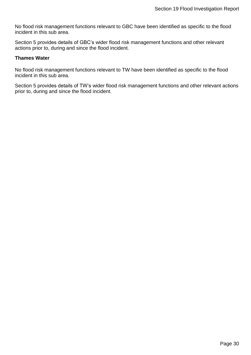No flood risk management functions relevant to GBC have been identified as specific to the flood incident in this sub area.

Section [5](#page-15-0) provides details of GBC's wider flood risk management functions and other relevant actions prior to, during and since the flood incident.

#### **Thames Water**

No flood risk management functions relevant to TW have been identified as specific to the flood incident in this sub area.

Section [5](#page-15-0) provides details of TW's wider flood risk management functions and other relevant actions prior to, during and since the flood incident.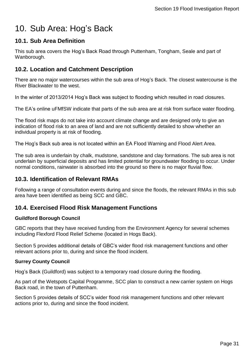# <span id="page-30-0"></span>10. Sub Area: Hog's Back

# <span id="page-30-1"></span>**10.1. Sub Area Definition**

This sub area covers the Hog's Back Road through Puttenham, Tongham, Seale and part of Wanborough.

# <span id="page-30-2"></span>**10.2. Location and Catchment Description**

There are no major watercourses within the sub area of Hog's Back. The closest watercourse is the River Blackwater to the west.

In the winter of 2013/2014 Hog's Back was subject to flooding which resulted in road closures.

The EA's online uFMfSW indicate that parts of the sub area are at risk from surface water flooding.

The flood risk maps do not take into account climate change and are designed only to give an indication of flood risk to an area of land and are not sufficiently detailed to show whether an individual property is at risk of flooding.

The Hog's Back sub area is not located within an EA Flood Warning and Flood Alert Area.

The sub area is underlain by chalk, mudstone, sandstone and clay formations. The sub area is not underlain by superficial deposits and has limited potential for groundwater flooding to occur. Under normal conditions, rainwater is absorbed into the ground so there is no major fluvial flow.

# <span id="page-30-3"></span>**10.3. Identification of Relevant RMAs**

Following a range of consultation events during and since the floods, the relevant RMAs in this sub area have been identified as being SCC and GBC.

### <span id="page-30-4"></span>**10.4. Exercised Flood Risk Management Functions**

### **Guildford Borough Council**

GBC reports that they have received funding from the Environment Agency for several schemes including Flexford Flood Relief Scheme (located in Hogs Back).

Section [5](#page-15-0) provides additional details of GBC's wider flood risk management functions and other relevant actions prior to, during and since the flood incident.

### **Surrey County Council**

Hog's Back (Guildford) was subject to a temporary road closure during the flooding.

As part of the Wetspots Capital Programme, SCC plan to construct a new carrier system on Hogs Back road, in the town of Puttenham.

Section [5](#page-15-0) provides details of SCC's wider flood risk management functions and other relevant actions prior to, during and since the flood incident.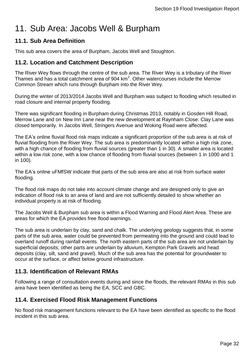# <span id="page-31-0"></span>11. Sub Area: Jacobs Well & Burpham

# <span id="page-31-1"></span>**11.1. Sub Area Definition**

This sub area covers the area of Burpham, Jacobs Well and Stoughton.

# <span id="page-31-2"></span>**11.2. Location and Catchment Description**

The River Wey flows through the centre of the sub area. The River Wey is a tributary of the River Thames and has a total catchment area of 904  $km^2$ . Other watercourses include the Merrow Common Stream which runs through Burpham into the River Wey.

During the winter of 2013/2014 Jacobs Well and Burpham was subject to flooding which resulted in road closure and internal property flooding.

There was significant flooding in Burpham during Christmas 2013, notably in Gosden Hill Road, Merrow Lane and on New Inn Lane near the new development at Raynham Close. Clay Lane was closed temporarily. In Jacobs Well, Stringers Avenue and Woking Road were affected.

The EA's online fluvial flood risk maps indicate a significant proportion of the sub area is at risk of fluvial flooding from the River Wey. The sub area is predominantly located within a high risk zone, with a high chance of flooding from fluvial sources (greater than 1 in 30). A smaller area is located within a low risk zone, with a low chance of flooding from fluvial sources (between 1 in 1000 and 1 in 100).

The EA's online uFMfSW indicate that parts of the sub area are also at risk from surface water flooding.

The flood risk maps do not take into account climate change and are designed only to give an indication of flood risk to an area of land and are not sufficiently detailed to show whether an individual property is at risk of flooding.

The Jacobs Well & Burpham sub area is within a Flood Warning and Flood Alert Area. These are areas for which the EA provides free flood warnings.

The sub area is underlain by clay, sand and chalk. The underlying geology suggests that, in some parts of the sub area, water could be prevented from permeating into the ground and could lead to overland runoff during rainfall events. The north eastern parts of the sub area are not underlain by superficial deposits; other parts are underlain by alluvium, Kempton Park Gravels and head deposits (clay, silt, sand and gravel). Much of the sub area has the potential for groundwater to occur at the surface, or affect below ground infrastructure.

# <span id="page-31-3"></span>**11.3. Identification of Relevant RMAs**

Following a range of consultation events during and since the floods, the relevant RMAs in this sub area have been identified as being the EA, SCC and GBC.

# <span id="page-31-4"></span>**11.4. Exercised Flood Risk Management Functions**

No flood risk management functions relevant to the EA have been identified as specific to the flood incident in this sub area.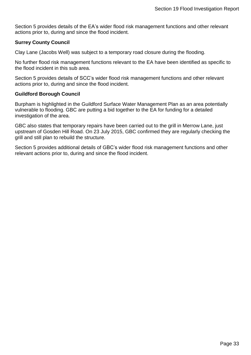Section [5](#page-15-0) provides details of the EA's wider flood risk management functions and other relevant actions prior to, during and since the flood incident.

### **Surrey County Council**

Clay Lane (Jacobs Well) was subject to a temporary road closure during the flooding.

No further flood risk management functions relevant to the EA have been identified as specific to the flood incident in this sub area.

Section [5](#page-15-0) provides details of SCC's wider flood risk management functions and other relevant actions prior to, during and since the flood incident.

### **Guildford Borough Council**

Burpham is highlighted in the Guildford Surface Water Management Plan as an area potentially vulnerable to flooding. GBC are putting a bid together to the EA for funding for a detailed investigation of the area.

GBC also states that temporary repairs have been carried out to the grill in Merrow Lane, just upstream of Gosden Hill Road. On 23 July 2015, GBC confirmed they are regularly checking the grill and still plan to rebuild the structure.

Section [5](#page-15-0) provides additional details of GBC's wider flood risk management functions and other relevant actions prior to, during and since the flood incident.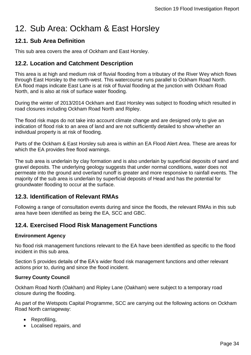# <span id="page-33-0"></span>12. Sub Area: Ockham & East Horsley

# <span id="page-33-1"></span>**12.1. Sub Area Definition**

This sub area covers the area of Ockham and East Horsley.

# <span id="page-33-2"></span>**12.2. Location and Catchment Description**

This area is at high and medium risk of fluvial flooding from a tributary of the River Wey which flows through East Horsley to the north-west. This watercourse runs parallel to Ockham Road North. EA flood maps indicate East Lane is at risk of fluvial flooding at the junction with Ockham Road North, and is also at risk of surface water flooding.

During the winter of 2013/2014 Ockham and East Horsley was subject to flooding which resulted in road closures including Ockham Road North and Ripley.

The flood risk maps do not take into account climate change and are designed only to give an indication of flood risk to an area of land and are not sufficiently detailed to show whether an individual property is at risk of flooding.

Parts of the Ockham & East Horsley sub area is within an EA Flood Alert Area. These are areas for which the EA provides free flood warnings.

The sub area is underlain by clay formation and is also underlain by superficial deposits of sand and gravel deposits. The underlying geology suggests that under normal conditions, water does not permeate into the ground and overland runoff is greater and more responsive to rainfall events. The majority of the sub area is underlain by superficial deposits of Head and has the potential for groundwater flooding to occur at the surface.

# <span id="page-33-3"></span>**12.3. Identification of Relevant RMAs**

Following a range of consultation events during and since the floods, the relevant RMAs in this sub area have been identified as being the EA, SCC and GBC.

# <span id="page-33-4"></span>**12.4. Exercised Flood Risk Management Functions**

### **Environment Agency**

No flood risk management functions relevant to the EA have been identified as specific to the flood incident in this sub area.

Section [5](#page-15-0) provides details of the EA's wider flood risk management functions and other relevant actions prior to, during and since the flood incident.

### **Surrey County Council**

Ockham Road North (Oakham) and Ripley Lane (Oakham) were subject to a temporary road closure during the flooding.

As part of the Wetspots Capital Programme, SCC are carrying out the following actions on Ockham Road North carriageway:

- Reprofiling,
- Localised repairs, and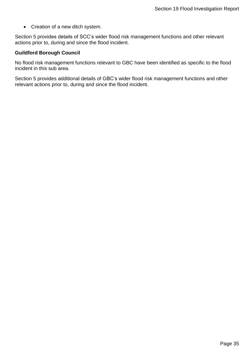• Creation of a new ditch system.

Section [5](#page-15-0) provides details of SCC's wider flood risk management functions and other relevant actions prior to, during and since the flood incident.

### **Guildford Borough Council**

No flood risk management functions relevant to GBC have been identified as specific to the flood incident in this sub area.

Section [5](#page-15-0) provides additional details of GBC's wider flood risk management functions and other relevant actions prior to, during and since the flood incident.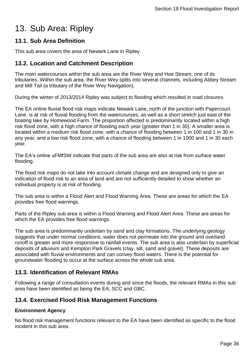# <span id="page-35-0"></span>13. Sub Area: Ripley

# <span id="page-35-1"></span>**13.1. Sub Area Definition**

This sub area covers the area of Newark Lane in Ripley.

# <span id="page-35-2"></span>**13.2. Location and Catchment Description**

The main watercourses within the sub area are the River Wey and Hoe Stream, one of its tributaries. Within the sub area, the River Wey splits into several channels, including Abbey Stream and Mill Tail (a tributary of the River Wey Navigation).

During the winter of 2013/2014 Ripley was subject to flooding which resulted in road closures.

The EA online fluvial flood risk maps indicate Newark Lane, north of the junction with Papercourt Lane, is at risk of fluvial flooding from the watercourses, as well as a short stretch just east of the boating lake by Homewood Farm. The proportion affected is predominantly located within a high risk flood zone, with a high chance of flooding each year (greater than 1 in 30). A smaller area is located within a medium risk flood zone, with a chance of flooding between 1 in 100 and 1 in 30 in any year, and a low risk flood zone, with a chance of flooding between 1 in 1000 and 1 in 30 each year.

The EA's online uFMfSW indicate that parts of the sub area are also at risk from surface water flooding.

The flood risk maps do not take into account climate change and are designed only to give an indication of flood risk to an area of land and are not sufficiently detailed to show whether an individual property is at risk of flooding.

The sub area is within a Flood Alert and Flood Warning Area. These are areas for which the EA provides free flood warnings.

Parts of the Ripley sub area is within a Flood Warning and Flood Alert Area. These are areas for which the EA provides free flood warnings.

The sub area is predominantly underlain by sand and clay formations. The underlying geology suggests that under normal conditions, water does not permeate into the ground and overland runoff is greater and more responsive to rainfall events. The sub area is also underlain by superficial deposits of alluvium and Kempton Park Gravels (clay, silt, sand and gravel). These deposits are associated with fluvial environments and can convey flood waters. There is the potential for groundwater flooding to occur at the surface across the whole sub area.

# <span id="page-35-3"></span>**13.3. Identification of Relevant RMAs**

Following a range of consultation events during and since the floods, the relevant RMAs in this sub area have been identified as being the EA, SCC and GBC.

# <span id="page-35-4"></span>**13.4. Exercised Flood Risk Management Functions**

### **Environment Agency**

No flood risk management functions relevant to the EA have been identified as specific to the flood incident in this sub area.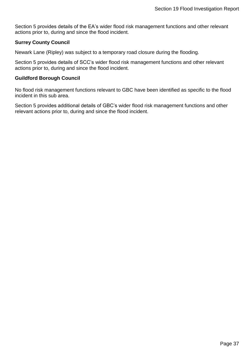Section [5](#page-15-0) provides details of the EA's wider flood risk management functions and other relevant actions prior to, during and since the flood incident.

### **Surrey County Council**

Newark Lane (Ripley) was subject to a temporary road closure during the flooding.

Section [5](#page-15-0) provides details of SCC's wider flood risk management functions and other relevant actions prior to, during and since the flood incident.

### **Guildford Borough Council**

No flood risk management functions relevant to GBC have been identified as specific to the flood incident in this sub area.

Section [5](#page-15-0) provides additional details of GBC's wider flood risk management functions and other relevant actions prior to, during and since the flood incident.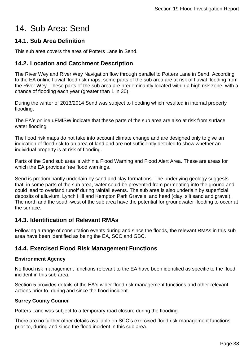# <span id="page-37-0"></span>14. Sub Area: Send

# <span id="page-37-1"></span>**14.1. Sub Area Definition**

This sub area covers the area of Potters Lane in Send.

# <span id="page-37-2"></span>**14.2. Location and Catchment Description**

The River Wey and River Wey Navigation flow through parallel to Potters Lane in Send. According to the EA online fluvial flood risk maps, some parts of the sub area are at risk of fluvial flooding from the River Wey. These parts of the sub area are predominantly located within a high risk zone, with a chance of flooding each year (greater than 1 in 30).

During the winter of 2013/2014 Send was subject to flooding which resulted in internal property flooding.

The EA's online uFMfSW indicate that these parts of the sub area are also at risk from surface water flooding.

The flood risk maps do not take into account climate change and are designed only to give an indication of flood risk to an area of land and are not sufficiently detailed to show whether an individual property is at risk of flooding.

Parts of the Send sub area is within a Flood Warning and Flood Alert Area. These are areas for which the EA provides free flood warnings.

Send is predominantly underlain by sand and clay formations. The underlying geology suggests that, in some parts of the sub area, water could be prevented from permeating into the ground and could lead to overland runoff during rainfall events. The sub area is also underlain by superficial deposits of alluvium, Lynch Hill and Kempton Park Gravels, and head (clay, silt sand and gravel). The north and the south-west of the sub area have the potential for groundwater flooding to occur at the surface.

# <span id="page-37-3"></span>**14.3. Identification of Relevant RMAs**

Following a range of consultation events during and since the floods, the relevant RMAs in this sub area have been identified as being the EA, SCC and GBC.

# <span id="page-37-4"></span>**14.4. Exercised Flood Risk Management Functions**

### **Environment Agency**

No flood risk management functions relevant to the EA have been identified as specific to the flood incident in this sub area.

Section [5](#page-15-0) provides details of the EA's wider flood risk management functions and other relevant actions prior to, during and since the flood incident.

### **Surrey County Council**

Potters Lane was subject to a temporary road closure during the flooding.

There are no further other details available on SCC's exercised flood risk management functions prior to, during and since the flood incident in this sub area.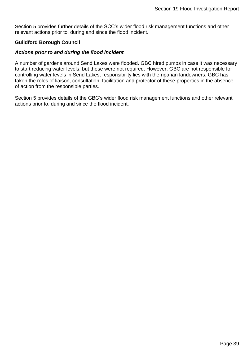Section [5](#page-15-0) provides further details of the SCC's wider flood risk management functions and other relevant actions prior to, during and since the flood incident.

### **Guildford Borough Council**

### *Actions prior to and during the flood incident*

A number of gardens around Send Lakes were flooded. GBC hired pumps in case it was necessary to start reducing water levels, but these were not required. However, GBC are not responsible for controlling water levels in Send Lakes; responsibility lies with the riparian landowners. GBC has taken the roles of liaison, consultation, facilitation and protector of these properties in the absence of action from the responsible parties.

Section [5](#page-15-0) provides details of the GBC's wider flood risk management functions and other relevant actions prior to, during and since the flood incident.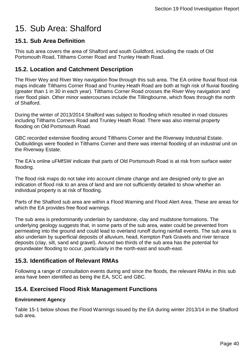# <span id="page-39-0"></span>15. Sub Area: Shalford

# <span id="page-39-1"></span>**15.1. Sub Area Definition**

This sub area covers the area of Shalford and south Guildford, including the roads of Old Portsmouth Road, Tilthams Corner Road and Trunley Heath Road.

### <span id="page-39-2"></span>**15.2. Location and Catchment Description**

The River Wey and River Wey navigation flow through this sub area. The EA online fluvial flood risk maps indicate Tilthams Corner Road and Trunley Heath Road are both at high risk of fluvial flooding (greater than 1 in 30 in each year). Tilthams Corner Road crosses the River Wey navigation and river flood plain. Other minor watercourses include the Tillingbourne, which flows through the north of Shalford.

During the winter of 2013/2014 Shalford was subject to flooding which resulted in road closures including Tilthams Corners Road and Trunley Heath Road. There was also internal property flooding on Old Portsmouth Road.

GBC recorded extensive flooding around Tilthams Corner and the Riverway Industrial Estate. Outbuildings were flooded in Tilthams Corner and there was internal flooding of an industrial unit on the Riverway Estate.

The EA's online uFMfSW indicate that parts of Old Portsmouth Road is at risk from surface water flooding.

The flood risk maps do not take into account climate change and are designed only to give an indication of flood risk to an area of land and are not sufficiently detailed to show whether an individual property is at risk of flooding.

Parts of the Shalford sub area are within a Flood Warning and Flood Alert Area. These are areas for which the EA provides free flood warnings.

The sub area is predominantly underlain by sandstone, clay and mudstone formations. The underlying geology suggests that, in some parts of the sub area, water could be prevented from permeating into the ground and could lead to overland runoff during rainfall events. The sub area is also underlain by superficial deposits of alluvium, head, Kempton Park Gravels and river terrace deposits (clay, silt, sand and gravel). Around two thirds of the sub area has the potential for groundwater flooding to occur, particularly in the north-east and south-east.

### <span id="page-39-3"></span>**15.3. Identification of Relevant RMAs**

Following a range of consultation events during and since the floods, the relevant RMAs in this sub area have been identified as being the EA, SCC and GBC.

# <span id="page-39-4"></span>**15.4. Exercised Flood Risk Management Functions**

### **Environment Agency**

Table 15-1 below shows the Flood Warnings issued by the EA during winter 2013/14 in the Shalford sub area.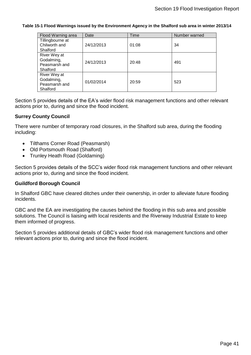#### **Table 15-1 Flood Warnings issued by the Environment Agency in the Shalford sub area in winter 2013/14**

| Flood Warning area | Date       | Time  | Number warned |
|--------------------|------------|-------|---------------|
| Tillingbourne at   |            |       |               |
| Chilworth and      | 24/12/2013 | 01:08 | 34            |
| Shalford           |            |       |               |
| River Wey at       |            |       |               |
| Godalming,         | 24/12/2013 | 20:48 | 491           |
| Peasmarsh and      |            |       |               |
| Shalford           |            |       |               |
| River Wey at       |            |       |               |
| Godalming,         | 01/02/2014 | 20:59 | 523           |
| Peasmarsh and      |            |       |               |
| Shalford           |            |       |               |

Section [5](#page-15-0) provides details of the EA's wider flood risk management functions and other relevant actions prior to, during and since the flood incident.

### **Surrey County Council**

There were number of temporary road closures, in the Shalford sub area, during the flooding including:

- Tilthams Corner Road (Peasmarsh)
- Old Portsmouth Road (Shalford)
- Trunley Heath Road (Goldaming)

Section [5](#page-15-0) provides details of the SCC's wider flood risk management functions and other relevant actions prior to, during and since the flood incident.

### **Guildford Borough Council**

In Shalford GBC have cleared ditches under their ownership, in order to alleviate future flooding incidents.

GBC and the EA are investigating the causes behind the flooding in this sub area and possible solutions. The Council is liaising with local residents and the Riverway Industrial Estate to keep them informed of progress.

Section [5](#page-15-0) provides additional details of GBC's wider flood risk management functions and other relevant actions prior to, during and since the flood incident.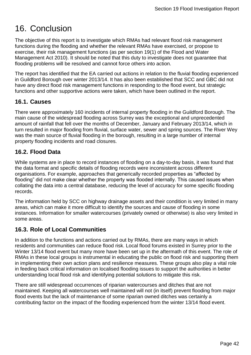# <span id="page-41-0"></span>16. Conclusion

The objective of this report is to investigate which RMAs had relevant flood risk management functions during the flooding and whether the relevant RMAs have exercised, or propose to exercise, their risk management functions (as per section 19(1) of the Flood and Water Management Act 2010). It should be noted that this duty to investigate does not guarantee that flooding problems will be resolved and cannot force others into action.

The report has identified that the EA carried out actions in relation to the fluvial flooding experienced in Guildford Borough over winter 2013/14. It has also been established that SCC and GBC did not have any direct flood risk management functions in responding to the flood event, but strategic functions and other supportive actions were taken, which have been outlined in the report.

# <span id="page-41-1"></span>**16.1. Causes**

There were approximately 160 incidents of internal property flooding in the Guildford Borough. The main cause of the widespread flooding across Surrey was the exceptional and unprecedented amount of rainfall that fell over the months of December, January and February 2013/14, which in turn resulted in major flooding from fluvial, surface water, sewer and spring sources. The River Wey was the main source of fluvial flooding in the borough, resulting in a large number of internal property flooding incidents and road closures.

# <span id="page-41-2"></span>**16.2. Flood Data**

While systems are in place to record instances of flooding on a day-to-day basis, it was found that the data format and specific details of flooding records were inconsistent across different organisations. For example, approaches that generically recorded properties as "affected by flooding" did not make clear whether the property was flooded internally. This caused issues when collating the data into a central database, reducing the level of accuracy for some specific flooding records.

The information held by SCC on highway drainage assets and their condition is very limited in many areas, which can make it more difficult to identify the sources and cause of flooding in some instances. Information for smaller watercourses (privately owned or otherwise) is also very limited in some areas.

# <span id="page-41-3"></span>**16.3. Role of Local Communities**

In addition to the functions and actions carried out by RMAs, there are many ways in which residents and communities can reduce flood risk. Local flood forums existed in Surrey prior to the Winter 13/14 flood event but many more have been set up in the aftermath of this event. The role of RMAs in these local groups is instrumental in educating the public on flood risk and supporting them in implementing their own action plans and resilience measures. These groups also play a vital role in feeding back critical information on localised flooding issues to support the authorities in better understanding local flood risk and identifying potential solutions to mitigate this risk.

There are still widespread occurrences of riparian watercourses and ditches that are not maintained. Keeping all watercourses well maintained will not (in itself) prevent flooding from major flood events but the lack of maintenance of some riparian owned ditches was certainly a contributing factor on the impact of the flooding experienced from the winter 13/14 flood event.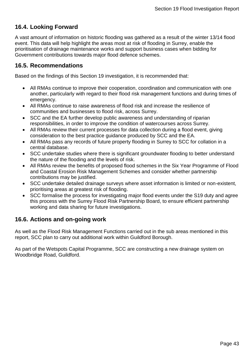# <span id="page-42-0"></span>**16.4. Looking Forward**

A vast amount of information on historic flooding was gathered as a result of the winter 13/14 flood event. This data will help highlight the areas most at risk of flooding in Surrey, enable the prioritisation of drainage maintenance works and support business cases when bidding for Government contributions towards major flood defence schemes.

### <span id="page-42-1"></span>**16.5. Recommendations**

Based on the findings of this Section 19 investigation, it is recommended that:

- All RMAs continue to improve their cooperation, coordination and communication with one another, particularly with regard to their flood risk management functions and during times of emergency.
- All RMAs continue to raise awareness of flood risk and increase the resilience of communities and businesses to flood risk, across Surrey.
- SCC and the EA further develop public awareness and understanding of riparian responsibilities, in order to improve the condition of watercourses across Surrey.
- All RMAs review their current processes for data collection during a flood event, giving consideration to the best practice guidance produced by SCC and the EA.
- All RMAs pass any records of future property flooding in Surrey to SCC for collation in a central database.
- SCC undertake studies where there is significant groundwater flooding to better understand the nature of the flooding and the levels of risk.
- All RMAs review the benefits of proposed flood schemes in the Six Year Programme of Flood and Coastal Erosion Risk Management Schemes and consider whether partnership contributions may be justified.
- SCC undertake detailed drainage surveys where asset information is limited or non-existent, prioritising areas at greatest risk of flooding.
- SCC formalise the process for investigating major flood events under the S19 duty and agree this process with the Surrey Flood Risk Partnership Board, to ensure efficient partnership working and data sharing for future investigations.

# <span id="page-42-2"></span>**16.6. Actions and on-going work**

As well as the Flood Risk Management Functions carried out in the sub areas mentioned in this report, SCC plan to carry out additional work within Guildford Borough.

As part of the Wetspots Capital Programme, SCC are constructing a new drainage system on Woodbridge Road, Guildford.